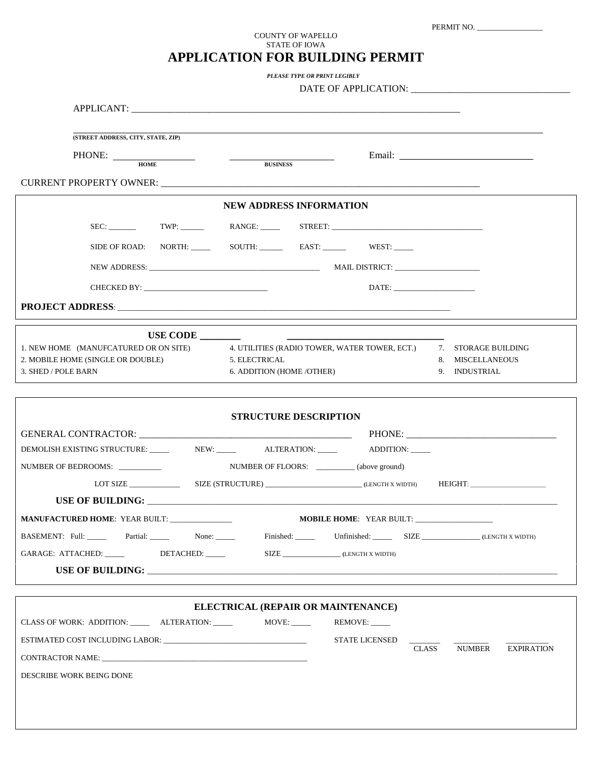| PERMIT NO. |  |
|------------|--|
|------------|--|

## COUNTY OF WAPELLO STATE OF IOWA **APPLICATION FOR BUILDING PERMIT**

*PLEASE TYPE OR PRINT LEGIBLY*

| DATE OF AP |  |
|------------|--|
|------------|--|

| (STREET ADDRESS, CITY, STATE, ZIP)                                                                                                                                                                                             |  |  |  |  |
|--------------------------------------------------------------------------------------------------------------------------------------------------------------------------------------------------------------------------------|--|--|--|--|
| PHONE: HOME                                                                                                                                                                                                                    |  |  |  |  |
|                                                                                                                                                                                                                                |  |  |  |  |
| <b>CURRENT PROPERTY OWNER: CURRENT PROPERTY OWNER:</b>                                                                                                                                                                         |  |  |  |  |
| <b>NEW ADDRESS INFORMATION</b>                                                                                                                                                                                                 |  |  |  |  |
| SEC: TWP: NANGE: STREET:                                                                                                                                                                                                       |  |  |  |  |
|                                                                                                                                                                                                                                |  |  |  |  |
|                                                                                                                                                                                                                                |  |  |  |  |
| CHECKED BY: New York Street and Street and Street and Street and Street and Street and Street and Street and Street and Street and Street and Street and Street and Street and Street and Street and Street and Street and Str |  |  |  |  |
|                                                                                                                                                                                                                                |  |  |  |  |
|                                                                                                                                                                                                                                |  |  |  |  |
| 4. UTILITIES (RADIO TOWER, WATER TOWER, ECT.) 7. STORAGE BUILDING<br>1. NEW HOME (MANUFCATURED OR ON SITE)                                                                                                                     |  |  |  |  |
| 2. MOBILE HOME (SINGLE OR DOUBLE)<br>5. ELECTRICAL<br>8. MISCELLANEOUS                                                                                                                                                         |  |  |  |  |
| 3. SHED / POLE BARN<br>6. ADDITION (HOME / OTHER)<br>9. INDUSTRIAL                                                                                                                                                             |  |  |  |  |
|                                                                                                                                                                                                                                |  |  |  |  |
| <b>STRUCTURE DESCRIPTION</b>                                                                                                                                                                                                   |  |  |  |  |
|                                                                                                                                                                                                                                |  |  |  |  |
| DEMOLISH EXISTING STRUCTURE: ______ NEW: _____ ALTERATION: _____ ADDITION: ____                                                                                                                                                |  |  |  |  |
| NUMBER OF BEDROOMS:<br>NUMBER OF FLOORS: __________(above ground)                                                                                                                                                              |  |  |  |  |
|                                                                                                                                                                                                                                |  |  |  |  |
|                                                                                                                                                                                                                                |  |  |  |  |
| <b>MOBILE HOME: YEAR BUILT:</b>                                                                                                                                                                                                |  |  |  |  |
|                                                                                                                                                                                                                                |  |  |  |  |
| SIZE _________________(LENGTH X WIDTH)<br>GARAGE: ATTACHED: _____<br>DETACHED: _____                                                                                                                                           |  |  |  |  |
|                                                                                                                                                                                                                                |  |  |  |  |
|                                                                                                                                                                                                                                |  |  |  |  |
| ELECTRICAL (REPAIR OR MAINTENANCE)                                                                                                                                                                                             |  |  |  |  |
| CLASS OF WORK: ADDITION: ________ ALTERATION: _______ MOVE: _____                                                                                                                                                              |  |  |  |  |
| ESTIMATED COST INCLUDING LABOR:<br><b>STATE LICENSED</b>                                                                                                                                                                       |  |  |  |  |
| <b>CLASS</b><br><b>NUMBER</b><br><b>EXPIRATION</b>                                                                                                                                                                             |  |  |  |  |
| DESCRIBE WORK BEING DONE                                                                                                                                                                                                       |  |  |  |  |
|                                                                                                                                                                                                                                |  |  |  |  |
|                                                                                                                                                                                                                                |  |  |  |  |
|                                                                                                                                                                                                                                |  |  |  |  |